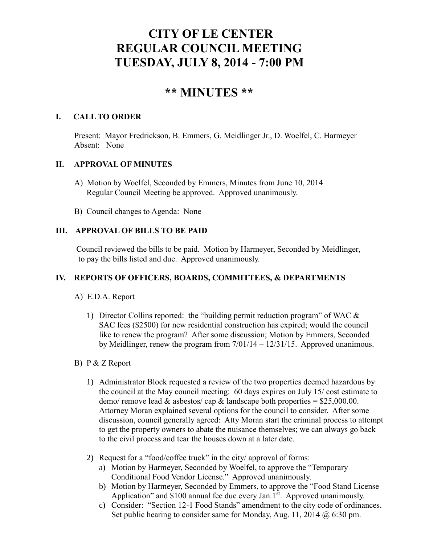# **CITY OF LE CENTER REGULAR COUNCIL MEETING TUESDAY, JULY 8, 2014 - 7:00 PM**

## **\*\* MINUTES \*\***

#### **I. CALL TO ORDER**

Present: Mayor Fredrickson, B. Emmers, G. Meidlinger Jr., D. Woelfel, C. Harmeyer Absent: None

## **II. APPROVAL OF MINUTES**

- A) Motion by Woelfel, Seconded by Emmers, Minutes from June 10, 2014 Regular Council Meeting be approved. Approved unanimously.
- B) Council changes to Agenda: None

## **III. APPROVAL OF BILLS TO BE PAID**

Council reviewed the bills to be paid. Motion by Harmeyer, Seconded by Meidlinger, to pay the bills listed and due. Approved unanimously.

## **IV. REPORTS OF OFFICERS, BOARDS, COMMITTEES, & DEPARTMENTS**

## A) E.D.A. Report

1) Director Collins reported: the "building permit reduction program" of WAC & SAC fees (\$2500) for new residential construction has expired; would the council like to renew the program? After some discussion; Motion by Emmers, Seconded by Meidlinger, renew the program from 7/01/14 – 12/31/15. Approved unanimous.

## B) P & Z Report

- 1) Administrator Block requested a review of the two properties deemed hazardous by the council at the May council meeting: 60 days expires on July 15/ cost estimate to demo/ remove lead  $&$  asbestos/ cap  $&$  landscape both properties = \$25,000.00. Attorney Moran explained several options for the council to consider. After some discussion, council generally agreed: Atty Moran start the criminal process to attempt to get the property owners to abate the nuisance themselves; we can always go back to the civil process and tear the houses down at a later date.
- 2) Request for a "food/coffee truck" in the city/ approval of forms:
	- a) Motion by Harmeyer, Seconded by Woelfel, to approve the "Temporary Conditional Food Vendor License." Approved unanimously.
	- b) Motion by Harmeyer, Seconded by Emmers, to approve the "Food Stand License Application" and  $$100$  annual fee due every Jan.1st. Approved unanimously.
	- c) Consider: "Section 12-1 Food Stands" amendment to the city code of ordinances. Set public hearing to consider same for Monday, Aug. 11, 2014 @ 6:30 pm.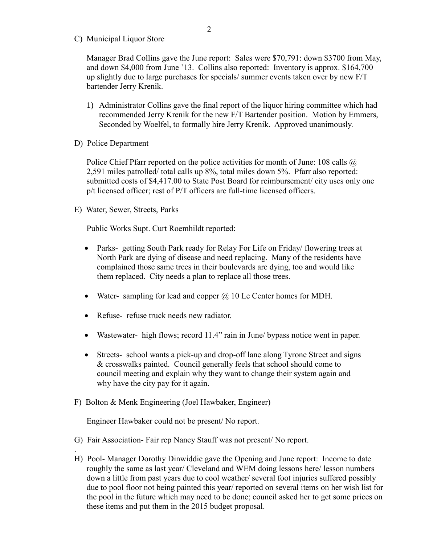C) Municipal Liquor Store

Manager Brad Collins gave the June report: Sales were \$70,791: down \$3700 from May, and down \$4,000 from June '13. Collins also reported: Inventory is approx. \$164,700 – up slightly due to large purchases for specials/ summer events taken over by new F/T bartender Jerry Krenik.

- 1) Administrator Collins gave the final report of the liquor hiring committee which had recommended Jerry Krenik for the new F/T Bartender position. Motion by Emmers, Seconded by Woelfel, to formally hire Jerry Krenik. Approved unanimously.
- D) Police Department

.

Police Chief Pfarr reported on the police activities for month of June: 108 calls @ 2,591 miles patrolled/ total calls up 8%, total miles down 5%. Pfarr also reported: submitted costs of \$4,417.00 to State Post Board for reimbursement/ city uses only one p/t licensed officer; rest of P/T officers are full-time licensed officers.

E) Water, Sewer, Streets, Parks

Public Works Supt. Curt Roemhildt reported:

- Parks- getting South Park ready for Relay For Life on Friday/ flowering trees at North Park are dying of disease and need replacing. Many of the residents have complained those same trees in their boulevards are dying, too and would like them replaced. City needs a plan to replace all those trees.
- Water- sampling for lead and copper  $\omega$  10 Le Center homes for MDH.
- Refuse- refuse truck needs new radiator.
- Wastewater- high flows; record 11.4" rain in June/ bypass notice went in paper.
- Streets- school wants a pick-up and drop-off lane along Tyrone Street and signs & crosswalks painted. Council generally feels that school should come to council meeting and explain why they want to change their system again and why have the city pay for it again.
- F) Bolton & Menk Engineering (Joel Hawbaker, Engineer)

Engineer Hawbaker could not be present/ No report.

- G) Fair Association- Fair rep Nancy Stauff was not present/ No report.
- H) Pool- Manager Dorothy Dinwiddie gave the Opening and June report: Income to date roughly the same as last year/ Cleveland and WEM doing lessons here/ lesson numbers down a little from past years due to cool weather/ several foot injuries suffered possibly due to pool floor not being painted this year/ reported on several items on her wish list for the pool in the future which may need to be done; council asked her to get some prices on these items and put them in the 2015 budget proposal.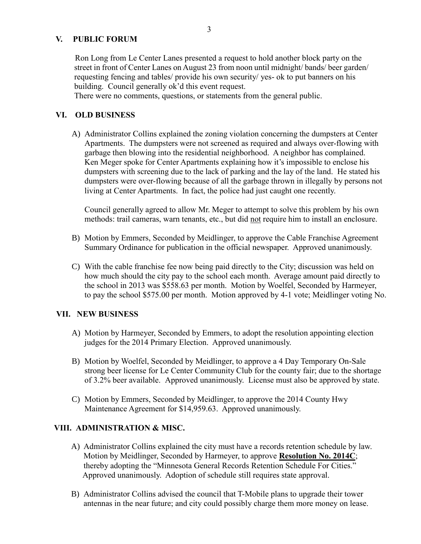#### **V. PUBLIC FORUM**

Ron Long from Le Center Lanes presented a request to hold another block party on the street in front of Center Lanes on August 23 from noon until midnight/ bands/ beer garden/ requesting fencing and tables/ provide his own security/ yes- ok to put banners on his building. Council generally ok'd this event request.

There were no comments, questions, or statements from the general public.

#### **VI. OLD BUSINESS**

A) Administrator Collins explained the zoning violation concerning the dumpsters at Center Apartments. The dumpsters were not screened as required and always over-flowing with garbage then blowing into the residential neighborhood. A neighbor has complained. Ken Meger spoke for Center Apartments explaining how it's impossible to enclose his dumpsters with screening due to the lack of parking and the lay of the land. He stated his dumpsters were over-flowing because of all the garbage thrown in illegally by persons not living at Center Apartments. In fact, the police had just caught one recently.

Council generally agreed to allow Mr. Meger to attempt to solve this problem by his own methods: trail cameras, warn tenants, etc., but did not require him to install an enclosure.

- B) Motion by Emmers, Seconded by Meidlinger, to approve the Cable Franchise Agreement Summary Ordinance for publication in the official newspaper. Approved unanimously.
- C) With the cable franchise fee now being paid directly to the City; discussion was held on how much should the city pay to the school each month. Average amount paid directly to the school in 2013 was \$558.63 per month. Motion by Woelfel, Seconded by Harmeyer, to pay the school \$575.00 per month. Motion approved by 4-1 vote; Meidlinger voting No.

#### **VII. NEW BUSINESS**

- A) Motion by Harmeyer, Seconded by Emmers, to adopt the resolution appointing election judges for the 2014 Primary Election. Approved unanimously.
- B) Motion by Woelfel, Seconded by Meidlinger, to approve a 4 Day Temporary On-Sale strong beer license for Le Center Community Club for the county fair; due to the shortage of 3.2% beer available. Approved unanimously. License must also be approved by state.
- C) Motion by Emmers, Seconded by Meidlinger, to approve the 2014 County Hwy Maintenance Agreement for \$14,959.63. Approved unanimously.

#### **VIII. ADMINISTRATION & MISC.**

- A) Administrator Collins explained the city must have a records retention schedule by law. Motion by Meidlinger, Seconded by Harmeyer, to approve **Resolution No. 2014C**; thereby adopting the "Minnesota General Records Retention Schedule For Cities." Approved unanimously. Adoption of schedule still requires state approval.
- B) Administrator Collins advised the council that T-Mobile plans to upgrade their tower antennas in the near future; and city could possibly charge them more money on lease.